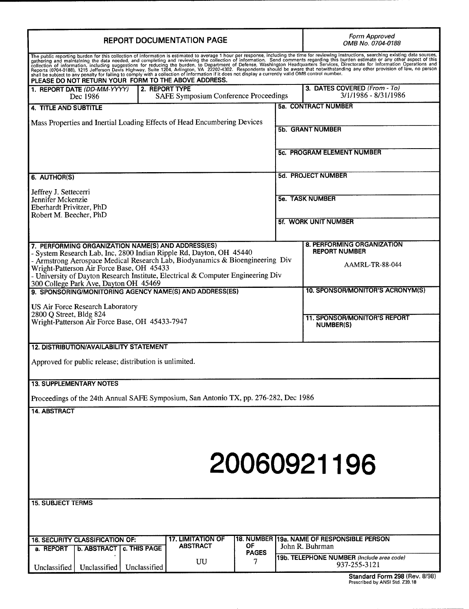| <b>REPORT DOCUMENTATION PAGE</b>                                                                                                                                                                                                                                                                                                                                                     | Form Approved<br>OMB No. 0704-0188                                                   |                                                                              |                                                      |                                                               |  |  |
|--------------------------------------------------------------------------------------------------------------------------------------------------------------------------------------------------------------------------------------------------------------------------------------------------------------------------------------------------------------------------------------|--------------------------------------------------------------------------------------|------------------------------------------------------------------------------|------------------------------------------------------|---------------------------------------------------------------|--|--|
| The public reporting burden for this collection of information is estimated to average 1 hour per response, including the time for reviewing instructions, searching existing data sources, gathering and maintaining the data<br>PLEASE DO NOT RETURN YOUR FORM TO THE ABOVE ADDRESS.                                                                                               |                                                                                      |                                                                              |                                                      |                                                               |  |  |
| 2. REPORT TYPE<br>1. REPORT DATE (DD-MM-YYYY)<br>SAFE Symposium Conference Proceedings<br>Dec 1986                                                                                                                                                                                                                                                                                   |                                                                                      |                                                                              | 3. DATES COVERED (From - To)<br>3/1/1986 - 8/31/1986 |                                                               |  |  |
| 4. TITLE AND SUBTITLE                                                                                                                                                                                                                                                                                                                                                                |                                                                                      |                                                                              |                                                      | 5a. CONTRACT NUMBER                                           |  |  |
| Mass Properties and Inertial Loading Effects of Head Encumbering Devices                                                                                                                                                                                                                                                                                                             |                                                                                      |                                                                              |                                                      | <b>5b. GRANT NUMBER</b>                                       |  |  |
|                                                                                                                                                                                                                                                                                                                                                                                      |                                                                                      |                                                                              |                                                      | <b>5c. PROGRAM ELEMENT NUMBER</b>                             |  |  |
| 6. AUTHOR(S)                                                                                                                                                                                                                                                                                                                                                                         |                                                                                      |                                                                              |                                                      | <b>5d. PROJECT NUMBER</b>                                     |  |  |
| Jeffrey J. Settecerri<br>Jennifer Mckenzie<br>Eberhardt Privitzer, PhD                                                                                                                                                                                                                                                                                                               |                                                                                      | <b>5e. TASK NUMBER</b>                                                       |                                                      |                                                               |  |  |
| Robert M. Beecher, PhD                                                                                                                                                                                                                                                                                                                                                               |                                                                                      |                                                                              |                                                      | <b>5f. WORK UNIT NUMBER</b>                                   |  |  |
| 7. PERFORMING ORGANIZATION NAME(S) AND ADDRESS(ES)<br>- System Research Lab, Inc, 2800 Indian Ripple Rd, Dayton, OH 45440<br>- Armstrong Aerospace Medical Research Lab, Biodyanamics & Bioengineering Div<br>Wright-Patterson Air Force Base, OH 45433<br>- University of Dayton Research Institute, Electrical & Computer Engineering Div<br>300 College Park Ave, Dayton OH 45469 |                                                                                      | 8. PERFORMING ORGANIZATION<br><b>REPORT NUMBER</b><br><b>AAMRL-TR-88-044</b> |                                                      |                                                               |  |  |
| 9. SPONSORING/MONITORING AGENCY NAME(S) AND ADDRESS(ES)<br>US Air Force Research Laboratory                                                                                                                                                                                                                                                                                          |                                                                                      |                                                                              |                                                      | 10. SPONSOR/MONITOR'S ACRONYM(S)                              |  |  |
| 2800 Q Street, Bldg 824<br>Wright-Patterson Air Force Base, OH 45433-7947                                                                                                                                                                                                                                                                                                            |                                                                                      | <b>11. SPONSOR/MONITOR'S REPORT</b><br><b>NUMBER(S)</b>                      |                                                      |                                                               |  |  |
| 12. DISTRIBUTION/AVAILABILITY STATEMENT                                                                                                                                                                                                                                                                                                                                              |                                                                                      |                                                                              |                                                      |                                                               |  |  |
| Approved for public release; distribution is unlimited.                                                                                                                                                                                                                                                                                                                              |                                                                                      |                                                                              |                                                      |                                                               |  |  |
| <b>13. SUPPLEMENTARY NOTES</b>                                                                                                                                                                                                                                                                                                                                                       |                                                                                      |                                                                              |                                                      |                                                               |  |  |
| Proceedings of the 24th Annual SAFE Symposium, San Antonio TX, pp. 276-282, Dec 1986                                                                                                                                                                                                                                                                                                 |                                                                                      |                                                                              |                                                      |                                                               |  |  |
| 14. ABSTRACT                                                                                                                                                                                                                                                                                                                                                                         |                                                                                      |                                                                              |                                                      | 20060921196                                                   |  |  |
| <b>15. SUBJECT TERMS</b>                                                                                                                                                                                                                                                                                                                                                             |                                                                                      |                                                                              |                                                      |                                                               |  |  |
|                                                                                                                                                                                                                                                                                                                                                                                      |                                                                                      |                                                                              |                                                      |                                                               |  |  |
| <b>16. SECURITY CLASSIFICATION OF:</b><br>a. REPORT<br><b>b. ABSTRACT</b>                                                                                                                                                                                                                                                                                                            | <b>17. LIMITATION OF</b><br>ABSTRACT<br>c. THIS PAGE                                 | ОF                                                                           |                                                      | 18. NUMBER 19a, NAME OF RESPONSIBLE PERSON<br>John R. Buhrman |  |  |
| Unclassified<br>Unclassified                                                                                                                                                                                                                                                                                                                                                         | <b>PAGES</b><br>19b. TELEPHONE NUMBER (Include area code)<br>UU<br>7<br>Unclassified |                                                                              |                                                      |                                                               |  |  |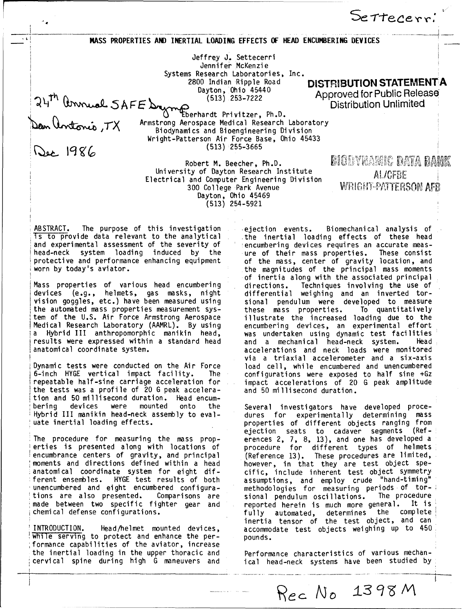**"MASS** PROPERTIES **AND** INERTIAL LOADING **EFFECTS** OF **HEAD ENCUMBERING** DEVICES

Jeffrey **J.** Settecerri Jennifer McKenzie Systems Research Laboratories, Inc.<br>2800 Indian Ripple Road

200 Indian Ripple Road **DISTRIBUTION STATEMENT A**<br>
2813) 253-7222 **DISTRIBUTION STATEMENT A**<br>
253-7222 **District Approved for Public Release** Approved for Public Release<br>Distribution Unlimited **5 A FE** (513) 253-7 Distribution Unlimited

Settererr:

'"TEberhardt Privitzer, Ph.D. Armstrong Aerospace Medical Research Laboratory Biodynamics and Bioengineering Division Wright-Patterson Air Force Base, Ohio 45433 *SIjg(* (513) 255-3665

Robert M. Beecher, Ph.D. University of Dayton Research Institute University of Dayton Research Institute<br>Electrical and Computer Engineering Division<br>300 College Park Avenue *and MRIGHT-PATTERSON AFB*  $300$  College Park Avenue Dayton, Ohio 45469 (513) 254-5921

**BIODYNAHIC DATA BANK** 

ABSTRACT. The purpose of this investigation and ejection events. Biomechanical analysis of<br>Ts to provide data relevant to the analytical and the inertial loading effects of these head and experimental assessment of the severity of head-neck system loading induced by the head-neck system loading induced by the ure of their mass properties. These consist<br>protective and performance enhancing equipment of the mass, center of gravity location, and protective and performance enhancing equipment of the mass, center of gravity location, and<br>worn by today's aviator.<br>still the magnitudes of the principal mass moments

devices (e.g., helmets, gas masks, night<br>vision goggles, etc.) have been measured using the automated mass properties measurement sys-<br>these mass properties. To quantitatively<br>tem of the U.S. Air Force Armstrong Aerospace illustrate the increased loading due to the tem of the U.S. Air Force Armstrong Aerospace<br>Medical Research Laboratory (AAMRL). By using Medical Research Laboratory (AAMRL). By using encumbering devices, an experimental effort a Hybrid III anthropomorphic manikin head, was undertaken using dynamic test facilities results were expressed within a standard head and a mechanical head-neck system. Head-neck for the mead-neck system. anatomical coordinate system. The contract of accelerations and neck loads were monitored

Dynamic tests were conducted on the Air Force 6-inch HYGE vertical impact facility. The configurations were exposed to half sine +Gz repeatable half-sine carriage acceleration for impact accelerations of 20 G peak amplitude the tests was a profile of 20 G peak accelera- and 50 millisecond duration. tion and 50 millisecond duration. Head encumbering devices were mounted onto the Several investigators have developed proce-<br>Hybrid III manikin head-neck-assembly-to-eval- dures for experimentally determining mass Hybrid III manikin head-neck assembly to eval- dures for experimentally determining mass

The procedure for measuring the mass prop-<br>erences 2, 7, 8, 13), and one has developed a<br>erties is presented along with locations of procedure for different types of helmets<br>encumbrance centers of gravity, and principal (R encumbrance centers of gravity, and principal (Reference 13). These procedures are limited moments and directions defined within a head however, in that they are test object speanatomical coordinate system for eight dif- cific, include inherent test object symmetry ferent ensembles. HYGE test results of both assumptions, and employ crude "hand-timing" ferent ensembles. HYGE test results of both assumptions, and employ crude "hand-timing"<br>unencumbered and eight encumbered configura- methodologies for measuring periods of tor-<br>tions are also presented. Comparisons are sio tions are also presented. Comparisons are sional pendulum oscillations.<br>made between two specific fighter gear and seported herein is much more chemical defense configurations. Fully automated, determines the complete<br>chemical defense configurations. Fully automated, determines the complete

INTRODUCTION. Head/helmet mounted devices, accommodate test objects weighing up to 450 I while serving to protect and enhance the per- pounds. movie conting to proceed and emmined the part the inertial loading in the upper thoracic and Performance characteristics of various mechan-

the inertial loading effects of these head.<br>encumbering devices requires an accurate measthe magnitudes of the principal mass moments of inertia along with the associated principal<br>directions. Techniques involving the use of Mass properties of various head encumbering directions. Techniques involving the use of<br>devices (e.g., helmets, gas masks, night differential weighing and an inverted torsional pendulum were developed to measure<br>these mass properties. To quantitatively via a triaxial accelerometer and a six-axis<br>load cell, while encumbered and unencumbered

uate inertial loading effects, properties of different objects ranging from ejection seats to cadaver segments (Ref-The procedure for measuring the mass prop- erences 2, 7, 8, 13), and one has developed a reported herein is much more general. It is inertia tensor of the test object, and can

cervical spine during high G maneuvers and ical head-neck systems have been studied by

Rec No 1398 M

**- -- - -**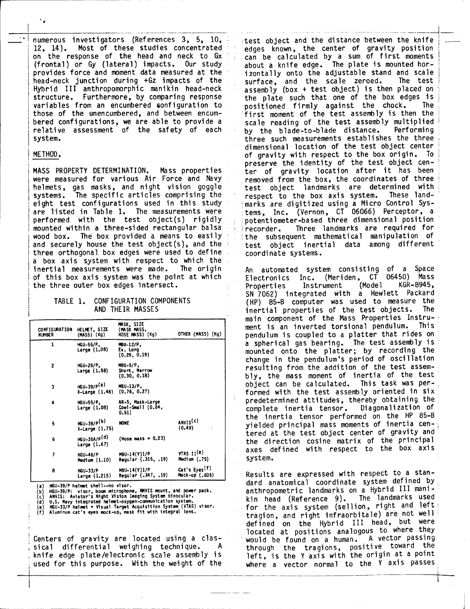numerous investigators (References 3, 5, 10, intest object and the distance between the knife<br>12, 14). Most of these studies concentrated interest known, the center of gravity position 12, 14). Most of these studies concentrated edges known, the center of gravity position<br>on the response of the head and neck to  $Gx = \frac{1}{2}$  can be calculated by a sum of first moments on the response of the head and neck to Gx can be calculated by a sum of first moment (frontal) or Gy (lateral) impacts. Our study about a knife edge. The plate is mounted horprovides force and moment data measured at the initially onto the adjustable stand and scale<br>head-neck junction during +Gz impacts of the surface, and the scale zeroed. The test head-neck junction during +Gz impacts of the<br>Hybrid III anthropomorphic manikin head-neck Hybrid III anthropomorphic manikin head-neck assembly (box **+** test object) is then placed on structure. Furthermore, by comparing response the plate such that one of the box edges is variables from an encumbered configuration to positioned firmly against the chock. The those of the unencumbered, and between encum-<br>
first moment of the test assembly is then the those of the unencumbered, and between encum-<br>bered configurations, we are able to provide a scale reading of the test assembly multiplied relative assessment of the safety of each<br>system.

٠.

helmets, gas masks, and night vision goggle itest object landmarks are determined with<br>systems. The specific articles comprising the lite respect to the box axis system. These landsystems. The specific articles comprising the<br>eight test configurations used in this study eight test configurations used in this study<br>are listed in Table 1. The measurements were in tems. Inc. (Vernon. CT 06066) Perceptor, a are listed in Table 1. The measurements were  $\frac{1}{2}$  tems, Inc. (Vernon, CT 06066) Perceptor, a performed with the test object(s) rigidly a potentiometer-based three dimensional position mounted within a three-sided rectangular balsa recorder.<br>wood box. The box provided a means to easily wood box. The box provided a means to easily  $\frac{1}{2}$  the subsequent mathematical manipulation of and securely house the test object(s), and the  $\frac{1}{2}$  test object inertial data among different three orthogonal box edges were used to define coordinate systems. a box axis system with respect to which the<br>inertial measurements were made. The origin inertial measurements were made. The origin An automated system consisting of a Space<br>of this box axis system was the point at which Reflectronics Inc. (Meriden, CT 06450) Mass the three outer box edges intersect.

| <b>CONFIGURATION</b><br><b>NUMBER</b> | HELMET, SIZE<br>(MASS) (Kg)              | MASK, SIZE<br>(MASK MASS,<br>HOSE MASS) (Kg)   | OTHER (MASS) (Kg)                           | 1110 L L L<br>. G<br>ment<br>i<br>pendul |
|---------------------------------------|------------------------------------------|------------------------------------------------|---------------------------------------------|------------------------------------------|
| 1                                     | HGU-55/P.<br>Large (1.08)                | MBU-12/P.<br>Ex. Long<br>(0.29, 0.19)          |                                             | a spher<br>mounte<br>change              |
| $\overline{c}$                        | HGU-26/P.<br><b>Large (1.58)</b>         | MBU-5/P.<br>Short, Narrow<br>(0.30, 0.18)      |                                             | result <sup>-</sup><br>bly, t            |
| 3                                     | $HGU-39/P(a)$<br>$X-Large(1.46)$         | MBU-13/P.<br>(0.76, 0.27)                      |                                             | object<br>formed                         |
| 4                                     | HGU-55/P.<br>Large (1.08)                | AR-5, Mask-Large<br>Cowl-Small (0.84,<br>0.51) |                                             | predet<br>complet                        |
| 5                                     | HGU-39/P(b)<br>X-Large (1.75)            | <b>NONE</b>                                    | ANVIS(c)<br>(0.49)                          | the in<br>yielde<br>tered                |
| 6                                     | HGU-35A/P <sup>(d)</sup><br>Large (1.67) | (Hose mass = $0.23$ )                          |                                             | the di                                   |
| 7                                     | <b>HGU-46/P</b><br>Medium (1.10)         | MBU-14(V)1/P<br>Regular (.315, .19)            | VTS II(e)<br>Medium (.75)                   | axes<br>system                           |
| 8                                     | <b>HGU-33/P</b><br>Large (1.215)         | MBU-14(V)1/P<br>Regular (.347, .19)            | Cat's Eyes <sup>(f)</sup><br>Mock-up (.835) | Result                                   |

Centers of gravity are located using a clas-<br>sical differential weighing technique. A through the tragions, positive toward the sical differential weighing technique. A through the tragions, positive toward the sical differential heighing commiques in through the tragions, positive commissions in the entries of the entries

scale reading of the test assembly multiplied<br>by the blade-to-blade distance. Performing three such measurements establishes the three dimensional location of the test object center METHOD. of gravity with respect to the box origin. To preserve the identity of the test object cen-MASS PROPERTY DETERMINATION. Mass properties ter of gravity location after it has been<br>were measured for various Air Force and Navy removed from the box, the coordinates of three removed from the box, the coordinates of three<br>test object landmarks are determined with potentiometer-based three dimensional position<br>recorder. Three landmarks are required for test object inertial data among different

Electronics Inc. (Meriden, CT 06450) Mass<br>Properties Instrument (Model KGR-8945, SN 7062) integrated with a Hewlett Packard TABLE 1. CONFIGURATION COMPONENTS (HP) 85-B computer was used to measure the<br>AND THEIR MASSES enter inertial properties of the test objects. The inertial properties of the test objects. main component of the Mass Properties Instru-<br>ment is an inverted torsional pendulum, This ment is an inverted torsional pendulum. pendulum is coupled to a platter that rides on a spherical gas bearing. The test assembly is HGU-55/P, MBU-12/P,<br>Large (1.08) Ex. Long (0.29, 0.19) **being in the platter;** by recording the<br>(0.29, 0.19) **change in the pendulumis peniod of oscillation** change in the pendulum's period of oscillation<br>resulting from the addition of the test assem-**(0.30, 0.18)** bly, the mass moment of inertia of the test object can be calculated. This task was performed with the test assembly oriented in six predetermined attitudes, thereby obtaining the<br>complete inertia tensor. Diagonalization of complete inertia tensor. the inertia tensor performed on the HP 85-B yielded principal mass moments of inertia centered at the test object center of gravity and the direction cosine matrix of the principal axes defined with respect to the box axis system.

Results are expressed with respect to a stan-HGU-39/P helmet shell--no visor. **hGU-39/P** helmet shell--no visor, dard anatomical coordinate system defined by anthropometric landmarks on a Hybrid III mani-<br>kin head (Reference 9). The landmarks used (c) ANVIS: Aviator's Night Vision Imaging System binocular.<br>(a) U.S. Navy integrated helmet-oxygen-communication system. (a) And (Reference 9). The landmarks used<br>(f) Aluminum cat's eyes mock-up, mask fit with integral len tragion, and right infraorbitale) are not well<br>defined on the Hybrid III head, but were located at positions analogous to where they knife edge plate/electronic scale assembly is a left, is the Y axis with the origin at a point used for this purpose. With the weight of the where a vector normal to the Y axis passes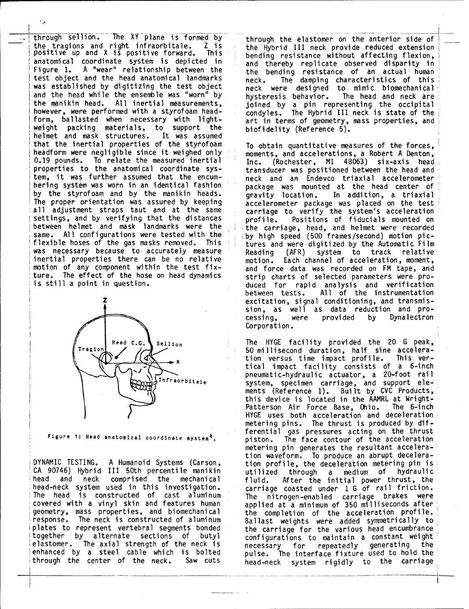through sellion. The XY-plane is formed by through the elastomer on the anterior side of<br>the tragions and right infraorbitale. Z is the Hybrid III neck provide reduced extension the tragions and right infraorbitale. Z **is** the Hybrid III neck provide reduced extension positive up and X is positive forward. This bending resistance without affecting flexion positive up and x is positive forward. Inisely bending resistance without affecting flexion,<br>anatomical coordinate system is depicted in and thereby replicate observed disparity in<br>Figure 1. A "wear" relationship between t test object and the head anatomical landmarks neck. The damping characteristics of this was established by digitizing the test object neck were designed to mimic biomechanical and the head while the ensemble was "worn" by the heavior. The head and neck are<br>the manikin head. All inertial measurements, the initial of the scriptial stead and neck are the manikin head. All inertial measurements, joined by a pin representing the occipital however, were performed with a styrofoam head- condyles. The Hybrid III neck is state of the form, ballasted when necessary with light- art in terms of geometry, mass properties, and weight packing materials, to support the biofidelity (Reference 5). helmet and mask structures. It was assumed that the inertial properties of the styrofoam To obtain quantitative measures of the forces,<br>headform were negligible since it weighed only supposents, and accelerations, a Robert A Denton, headform were negligible since it weighed only a moments, and accelerations, a Robert A Denton,<br>0.19 pounds, To relate the measured inertial a Thr. (Rochester, MI 48063) six-axis, head 0.19 pounds. To relate the measured inertial  $\frac{1}{10}$  Inc. (Rochester, MI 48063) six-axis head or properties to the anatomical coordinate sys-<br>
International properties to the anatomical coordinate sys-<br>
International p tem, it was further assumed that the encum- neck and an Endevco triaxial accelerometer by the styrofoam and by the manikin heads.<br>The proper orientation was assured by keeping accelerometer package was placed on the test The proper orientation was assured by keeping accelerometer package was placed on the test<br>all adjustment straps taut and at the same acarriage to verify the system's acceleration all adjustment straps taut and at the same carriage to verify the system's acceleration settings, and by verifying that the distances profile. Positions of fiducials mounted or settings, and by verifying that the distances profile. Positions of fiducials mounted on<br>between helmet and mask landmarks were the the carriage, head, and helmet were recorded same. All configurations were tested with the by high speed (500 frames/second) motion pic-<br>flexible hoses of the gas masks removed. This tures and were digitized by the Automatic Film was necessary because to accurately measure<br>inertial properties there can be no relative motion of any component within the test fix- and force data was recorded on FM tape, and



Figure 1: Head anatomical coordinate system<sup>4</sup>.

CA 90746) Hybrid III 50th percentile manikin utilized through a medium of hydraulic head and neck comprised the mechanical fluid. After the initial power thrust, the head-neck system used in this investigation, carriage coasted under 1 G of rail friction. The head is constructed of cast aluminum The nitrogen-enabled carriage brakes were covered with a vinyl skin and features human applied at a minimum of 350 milliseconds after covered with a vinyl skin and teatures human applied at a minimum of 350 milliseconds after<br>geometry, mass properties, and biomechanical the completion of the acceleration profile. response. The neck is constructed of aluminum Ballast weights were added symmetrically to plates to represent vertebral segments bonded the carriage for the various head encumbrance together by alternate sections of butyl configurations to maintain a constant weight elastomer. The axial strength of the neck is a necessary for repeatedly generating the 1enhanced by a steel cable which is bolted pulse. The interface fixture used to hold the

the bending resistance of an actual human

transducer was positioned between the head and package was mounted at the head center of tures and were digitized by the Automatic Film Reading (AFR) system to track relative<br>motion. Each channel of acceleration, moment, ture. The effect of the hose on head dynamics strip charts of selected parameters were pro-<br>is still a point in question. <br>duced for rapid analysis and verification duced for rapid analysis and verification between tests. All of the instrumentation excitation, signal conditioning, and transmission, as well as data reduction and pro-<br>cessing, were provided by Dynalectron provided by **provided** Corporation.

sellion The HYGE facility provided the 20 G peak, 50 millisecond duration, half sine accelera-**\_X** tion versus time impact profile. This vertical impact facility consists of a 6-inch pneumatic-hydraulic actuator, a 20-foot rail infraerbitale exercise contraction of the contraction of the exercise of the exercise of the exercise of the exercise of the exercise of the exercise of the exercise of the exer Infraorbitale system, specimen carriage, and support ele-<br>and support elements (Reference 1). Built by CVC Products this device is located in the AAMRL at Wright- Patterson Air Force Base, Ohio. The 6-inch HYGE uses both acceleration and deceleration metering pins. The thrust is produced by differential gas pressures acting on the thrust<br>piston. The face contour of the acceleration metering pin generates the resultant acceleration waveform. To produce an abrupt decelera-DYNAMIC TESTING. A Humanoid Systems (Carson, tion profile, the deceleration metering pin is ennanced by a steel cable which is bolted pulse. The interface fixture used to hold the through the carriage through the carriage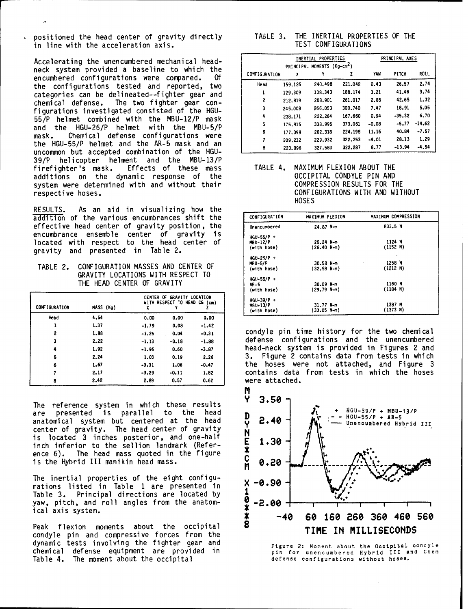positioned the head center of gravity directly in line with the acceleration axis.

Accelerating the unencumbered mechanical headneck system provided a baseline to which the encumbered configurations were compared. Of encumbered configurations were compared. the configurations tested and reported, two categories can be delineated--fighter gear and  $chemical$  defense. The two fighter gear configurations investigated consisted of the HGU-55/P helmet combined with the MBU-12/P mask and the HGU-26/P helmet with the MBU-5/P mask. Chemical defense configurations were the HGU-55/P helmet and the AR-5 mask and an uncommon but accepted combination of the HGU-39/P helicopter helment and the MBU-13/P firefighter's mask. Effects of these mass TABLE 4. MAXIMUM FLEXION ABOUT THE<br>additions on the dynamic response of the 6CCIPITAL CONDYLE PIN AND additions on the dynamic response of the end occipital CONDYLE PIN AND<br>system were determined with and without their end COMPRESSION RESULTS FOR THE system were determined with and without their respective hoses.

RESULTS. As an aid in visualizing how the addition of the various encumbrances shift the effective head center of gravity position, the encumbrance ensemble center of gravity is located with respect to the head center of gravity and presented in Table 2.

TABLE 2. CONFIGURATION MASSES AND CENTER OF GRAVITY LOCATIONS WITH RESPECT TO THE HEAD CENTER OF GRAVITY

| CONFIGURATION | MASS (Kg) |         | CENTER OF GRAVITY LOCATION<br>WITH RESPECT TO HEAD CG (cm) |         | $HGU-39/P +$<br><b>MBU-13/P</b><br>(with hose) | $31.77$ N-m<br>(33.05 N-m)             | 1387 N<br>(1373 N) |
|---------------|-----------|---------|------------------------------------------------------------|---------|------------------------------------------------|----------------------------------------|--------------------|
| <b>Head</b>   | 4.54      | 0.00    | 0.00                                                       | 0.00    |                                                |                                        |                    |
|               | 1.37      | $-1.79$ | 0.08                                                       | $-1.42$ |                                                |                                        |                    |
|               | 1.88      | $-1.25$ | 0.04                                                       | $-0.31$ |                                                | condyle pin time history for the two   |                    |
|               | 2.22      | $-1.13$ | $-0.18$                                                    | $-1.88$ |                                                | defense configurations and the unene   |                    |
|               | 1.92      | $-1.96$ | 0.60                                                       | $-3.87$ |                                                | head-neck system is provided in Figure |                    |
| 5             | 2.24      | 1.03    | 0.19                                                       | 2.26    |                                                | 3. Figure 2 contains data from tests   |                    |
| 6             | 1.67      | $-3.31$ | 1.06                                                       | $-0.47$ |                                                | the hoses were not attached, and F     |                    |
|               | 2.17      | $-3.29$ | $-0.11$                                                    | 1.82    |                                                | contains data from tests in which th   |                    |
| 8             | 2.42      | 2.89    | 0.57                                                       | 0.62    | were attached.                                 |                                        |                    |

The reference system in which these results **Y** 3.50 center of gravity. The head center of gravity is located 3 inches posterior, and one-half  $\overline{E}$  1.30 inch inferior to the sellion landmark (Reference 6). The head mass quoted in the figure<br>is the Hybrid III manikin head mass.<br>**0.20** is the Hybrid III manikin head mass.

The inertial properties of the eight configurations listed in Table 1 are presented in  $X -0.90$ <br>Table 3. Principal directions are located by 1 Table 3. Principal directions are located by  $\frac{1}{2}$ <br>yaw pitch and roll angles from the anatomyaw, pitch, and roll angles from the anatom- **0** -2.00

condyle pin and compressive forces from the dynamic tests involving the fighter gear and Figure 2: Moment about the Occipital condyle chemical defense equipment are provided in the pin for unencumbered Hybrid III and Chem<br>
Table 4. The moment about the occipital defense configurations without hoses. Table 4. The moment about the occipital

|  |  | TABLE 3. THE INERTIAL PROPERTIES OF THE |  |
|--|--|-----------------------------------------|--|
|  |  | TEST CONFIGURATIONS                     |  |

|                      |         | INERTIAL PROPERTIES                     |         | PRINCIPAL AXES |              |             |
|----------------------|---------|-----------------------------------------|---------|----------------|--------------|-------------|
|                      |         | PRINCIPAL MOMENTS (Kg-cm <sup>2</sup> ) |         |                |              |             |
| <b>CONFIGURATION</b> | X       |                                         | z       | YAW            | <b>PITCH</b> | <b>ROLL</b> |
| <b>Head</b>          | 159.126 | 240.498                                 | 221.042 | 0.43           | 26.57        | 2.74        |
|                      | 129.309 | 138.343                                 | 188.174 | 3.21           | 41.46        | 3.74        |
| 2                    | 212.819 | 208,901                                 | 261,017 | 2.85           | 42.65        | 1.32        |
| 3                    | 245.008 | 266.053                                 | 300.740 | 7.47           | 18.91        | 5.05        |
| 4                    | 238.171 | 222.264                                 | 167.660 | 0.94           | $-35.32$     | 6.70        |
| 5                    | 175.915 | 338.995                                 | 373.061 | $-0.08$        | $-5.77$      | $-14.62$    |
| 6                    | 177.399 | 202.318                                 | 224.198 | 11.16          | 40.84        | $-7.57$     |
| 7                    | 209.232 | 229.932                                 | 322.253 | $-4.01$        | 28.13        | 1.29        |
| 8                    | 223.896 | 327,583                                 | 322.287 | 8.77           | $-13.94$     | $-4.54$     |

CONFIGURATIONS WITH AND WITHOUT HOSES

| <b>CONFIGURATION</b> | MAXIMUM FLEXION | MAXIMUM COMPRESSION  |
|----------------------|-----------------|----------------------|
| Unencumbered         | 24.87 N-m       | 833.5 N              |
| $HGU-55/P +$         |                 |                      |
| <b>MBU-12/P</b>      | 25.24 N-m       | 1124 N               |
| (with hose)          | $(26.40 N-m)$   | (1152 N)             |
| $HGU-26/P +$         |                 | $\ddot{\phantom{1}}$ |
| <b>MBU-5/P</b>       | 30.58 N-m       | 1258 N               |
| (with hose)          | $(32.58 N-m)$   | (1212 N)             |
| $HGU-55/P +$         |                 |                      |
| AR-5                 | 30.09 N-m       | 1160 N               |
| (with hose)          | $(29.79 N-m)$   | (1184 N)             |
| $HGU-39/P +$         |                 |                      |
| <b>MBU-13/P</b>      | $31.77$ N-m     | 1387 N               |
| (with hose)          | (33.05 N-m)     | (1373 N)             |

condyle pin time history for the two chemical defense configurations and the unencumbered <sup>4</sup>**1.92 -1.96 0.60 -3.87** head-neck system is provided in Figures 2 and **<sup>5</sup>**2.24 **1.03 0.19 2.26** 3. Figure 2 contains data from tests in which the hoses were not attached, and Figure 3 contains data from tests in which the hoses **<sup>8</sup>**2.42 **2.89 0.57 0.62** were attached.

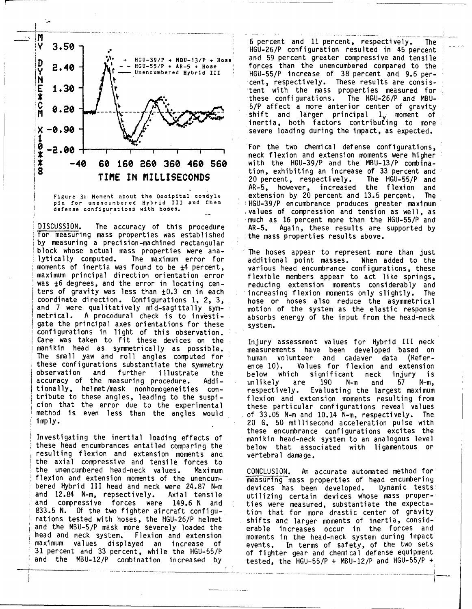

for measuring mass properties was established the mass properties results above. by measuring a precision-machined rectangular block whose actual mass properties were ana- The hoses appear to represent more than just lytically computed. The maximum error for additional point masses. When added to the moments of inertia was found to be ±4 percent, various head encumbrance configurations, these maximum principal direction orientation error flexible members appear to act like springs, was  $\pm 6$  degrees, and the error in locating cen-<br>reducing extension moments considerably and ters of gravity was less than  $\pm 0.3$  cm in each increasing flexion moments only slightly. The coordinate direction. Configurations 1, 2, 3, increasing flexion moments only slightly. The coordinate direction. Configurations 1, 2, 3, and those or hoses also reduce the asymmetrical<br>and 7 were qualitatively mid-sagittally sym- and motion of the system as the elastic response<br>metrical. A procedural check is to gate the principal axes orientations for these system. configurations in light of this observation. Care was taken to fit these devices on the Injury assessment values for Hybrid **III** neck manikin head as symmetrically as possible. measurements have been developed based on The small yaw and roll angles computed for human volunteer and cadaver data (Referthese configurations substantiate the symmetry  $ence$  10). these configurations substantiate the symmetry ence 10). Values for flexion and extension<br>observation and further illustrate the below which significant neck injury is accuracy of the measuring procedure. Addi- unlikely are 190 *N-m* and 57 N-m, tionally, helmet/mask nonhomogeneities con- respectively. Evaluating the largest maximum tribute to these angles, leading to the suspi- flexion and extension moments resulting from cion that the error due to the experimental these particular configurations reveal values method is even less than the angles would of 33.05 N-m and 10.14 N-m, respectively. The

these head encumbrances entailed comparing the below that associated with ligamentous or resulting flexion and extension moments and vertebral damage. the axial compressive and tensile forces to the unencumbered head-neck values. Maximum CONCLUSION. An accurate automated method for flexion and extension moments of the unencum- measuring mass properties of head encumbering bered Hybrid III head and neck were 24.87 N-m devices has been developed. Dynamic tests and 12.84 N-m, repsectively. Axial tensile utilizing certain devices whose mass properand compressive forces were 149.6 N and ties were measured, substantiate the expecta-833.5 N. Of the two fighter aircraft configu- tion that for more drastic center of gravity rations tested with hoses, the HGU-26/P helmet shifts and larger moments of inertia, considand the MBU-5/P mask more severely loaded the erable increases occur in the forces and head and neck system. Flexion and extension moments in the head-neck system during impact maximum values displayed an increase of events. In terms of safety, of the two sets 31 percent and 33 percent, while the HGU-55/P of fighter gear and chemical defense equipment

- - **HGU-55/P** + AR-5 + Hose forces than the unencumbered compared to the **I.30**  $\frac{1}{2}$   $\frac{1}{2}$   $\frac{1}{2}$   $\frac{1}{2}$   $\frac{1}{2}$   $\frac{1}{2}$   $\frac{1}{2}$   $\frac{1}{2}$   $\frac{1}{2}$   $\frac{1}{2}$   $\frac{1}{2}$   $\frac{1}{2}$   $\frac{1}{2}$   $\frac{1}{2}$   $\frac{1}{2}$   $\frac{1}{2}$   $\frac{1}{2}$   $\frac{1}{2}$   $\frac{1}{2}$   $\frac{1}{2}$   $\frac{1}{2}$   $\frac{1$ tent with the mass properties measured for these configurations. The HGU-26/P and MBU-The  $HGU-26/P$  and MBUshift and larger principal  $I_v$  moment of inertia, both factors contributing to more

**I I Ineck flexion and extension moments were higher**<br>**I**neck flexion and extension moments were higher<br>**I**neck flexion and the MBU-13/P combina--40 **60 160 260 360** 460 **560** with the HGU-39/P and the MBU-13/P combina-AR-5, however, increased the flexion and Figure 3: Moment about the Occipital condyle extension by 20 percent and 13.5 percent. The<br>pin for unencumbered Hybrid III and Chem entily HGU-39/P encumbrance produces greater maximum pin for unencumbered Hybrid III and Chem | HGU-39/P encumbrance produces greater maximum<br>defense configurations with hoses. We walues of compression and tension as well as values of compression and tension as well, as much as 16 percent more than the HGU-55/P and<br>AR-5. Again, these results are supported by DISCUSSION. The accuracy of this procedure AR-5. Again, these results are supported by

imply. 20 G, 50 millisecond acceleration pulse with these encumbrance configurations excites the Investigating the inertial loading effects of manikin head-neck system to an analogous level

and the MBU-12/P combination increased by tested, the HGU-55/P **+** MBU-12/P and HGU-55/P **+**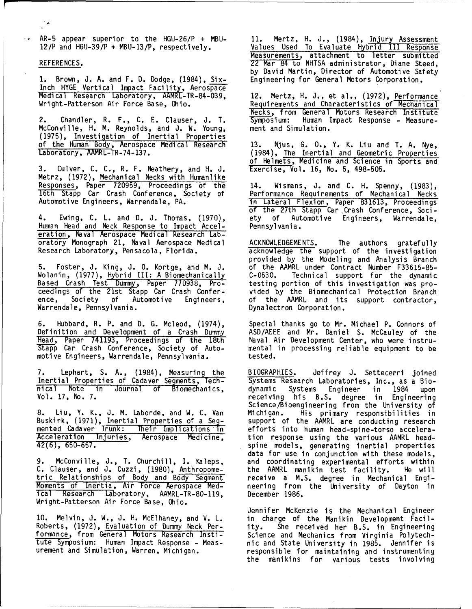AR-5 appear superior to the HGU-26/P **+** MBU- 11. Mertz, H. **J.,** (1984), Injury Assessment

م ا

Inch HYGE Vertical Impact Facility, Aerospace Medical Research Laboratory, AAMRL-TR-84-039, 12. Mertz, H. J., et al., (1972), Performance<br>Wright-Patterson Air Force Base, Ohio. Requirements and Characteristics of Mechanical

McConville, H. M. Reynolds, and J. W. Young, (1975), Investigation of Inertial Properties of the Human Body, Aerospace Medical Research 13. Njus, G. 0., Y. K. Liu and T. A. Nye,<br>Laboratory, AAMRL-TR-74-137. (1984), The Inertial and Geometric Properties

3. Culver, C. C., R. F. Neathery, and H. J. Metrz, (1972), Mechanical Necks with Humanlike Responses, Paper 720959, Proceedings of the 14. Wismans, J. and C. H. Spenny, (1983),<br>16th Stapp Car Crash Conference, Society of Performance Requirements of Mechanical Necks 16th Stapp Car Crash Conference, Society of<br>Automotive Engineers, Warrendale, PA.

Human Head and Neck Response to Impact Acceleration, Naval Aerospace Medical Research Lab-<br>oratory Monograph 21, Naval Aerospace Medical oratory Monograph 21, Naval Aerospace Medical ACKNOWLEDGEMENTS. The authors gratefully<br>Research Laboratory, Pensacola, Florida. acknowledge the support of the investigation

Wolanin, (1977), Hybrid III: A Biomechanically C-0530. Technical support for the dynami Wolanin, (1977), Hybrid III: A Biomechanically<br>Based Crash Test Dummy, Paper 770938, Pro-<br>ceedings of the 21st Stapp Car Crash Confer-<br>vided by the Biomechanical Protection Branch ceedings of the 21st Stapp Car Crash Confer-<br>ence, Society of Automotive Engineers, Warrendale, Pennsylvania.

6. Hubbard, R. P. and D. G. Mcleod, (1974), Special thanks go to Mr. Michael P. Connors of Definition and Development of a Crash Dummy Head, Paper 741193, Proceedings of the 18th Stapp Car Crash Conference, Society of Automotive Engineers, Warrendale, Pennsylvania. tested.

7. Lephart, S. A., (1984), <u>Measuring the BIOGRAPHIES</u>. Jeffrey J. Settecerri joined Inertial Properties of Cadaver Segments, Tech- Systems Research Laboratories, Inc., as a Bio-

mented Cadaver Trunk: Their Implications in efforts into human head-spine-torso accelera-Acceleration Injuries, Aerospace Medicine, tion response using the various AAMRL head-

9. McConville, J., T. Churchill, I. Kaleps, and coordinating experimental efforts within C. Clauser, and J. Cuzzi, (1980), Anthropome-<br>tric Relationships of Body and Body Segment receive a M.S. degree in Mechanical Engitric Relationships of Body and Body Segment Moments of Inertia, Air Force Aerospace Med- neering from the University of Dayton in ical Research Laboratory, AAMRL-TR-80-119, December 1986. Wright-Patterson Air Force Base, Ohio.

Roberts, (1972), Evaluation of Dummy Neck Per- ity. She received her B.S. in Engineering formance, from General Motors Research Insti-<br>Science and Mechanics from Virginia Polytechtute Symposium: Human Impact Response - Meas- nic and State University in 1985. Jennifer is

Values Used To Evaluate Hybrid III Response Measurements, attachment to letter submitted REFERENCES.<br>22 Mar 84 to NHTSA administrator, Diane Steed,<br>by David Martin, Director of Automotive Safety 1. Brown, J. A. and F. D. Dodge, (1984), Six-<br>Engineering for General Motors Corporation.

Requirements and Characteristics of Mechanical Necks, from General Motors Research Institute 2. Chandler, R. F., C. E. Clauser, J. T. Symposium: Human Impact Response - Measure-<br>McConville, H. M. Reynolds, and J. W. Young, ment and Simulation.

of Helmets, Medicine and Science in Sports and

in Lateral Flexion, Paper 831613, Proceedings of the 27th Stapp Car Crash Conference, Soci-4. Ewing, C. L. and D. J. Thomas, (1970), ety of Automotive Engineers, Warrendale,<br>Human Head and Neck Response to Impact Accel- Pennsylvania.

provided by the Modeling and Analysis Branch 5. Foster, J. King, J. **0.** Kortge, and M. J. of the AAMRL under Contract Number F33615-85 of the AAMRL and its support contractor,<br>Dynalectron Corporation.

Naval Air Development Center, who were instru-<br>mental in processing reliable equipment to be

nical Note in Journal of Biomechanics, dynamic Systems Engineer in 1984 upon Vol. 17, No. 7. receiving his B.S. degree in Engineering Science/Bioengineering from the University of 8. Liu, Y. K., J. M. Laborde, and W. C. Van Michigan. His primary responsibilities in<br>Buskirk, (1971), Inertial Properties of a Seg- support of the AAMRL are conducting research support of the AAMRL are conducting research<br>efforts into human head-spine-torso accelera-Acceleration Injuries, Aerospace Medicine, tion response using the various AAMRL head-<br>42(6), 650-657. Spine models, generating inertial properties data for use in conjunction with these models,

Jennifer McKenzie is the Mechanical Engineer 10. Melvin, J. W., J. H. McElhaney, and V. L. in charge of the Manikin Development Facilurement and Simulation, Warren, Michigan. Figures esponsible for maintaining and instrumenting the manikins for various tests involving